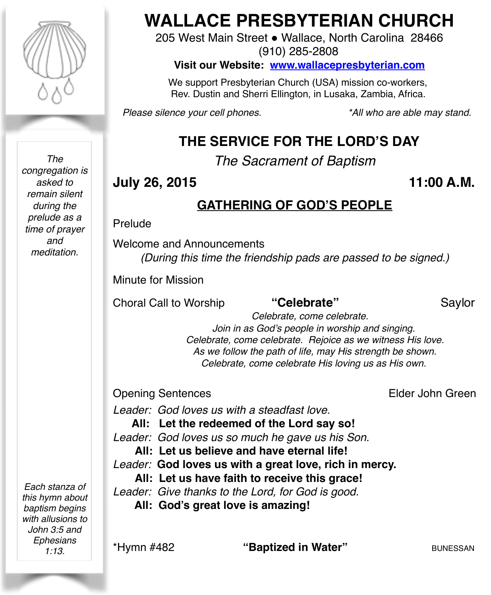

*The congregation is asked to remain silent during the prelude as a time of prayer and meditation.*

*Each stanza of this hymn about baptism begins with allusions to John 3:5 and Ephesians 1:13.*

# **WALLACE PRESBYTERIAN CHURCH**

205 West Main Street . Wallace, North Carolina 28466 (910) 285-2808

**Visit our Website: [www.wallacepresbyterian.com](http://www.wallacepresbyterian.com)**

 We support Presbyterian Church (USA) mission co-workers, Rev. Dustin and Sherri Ellington, in Lusaka, Zambia, Africa.

*Please silence your cell phones. \*All who are able may stand.*

# **THE SERVICE FOR THE LORD'S DAY**

*The Sacrament of Baptism*

# **July 26, 2015 11:00 A.M.**

# **GATHERING OF GOD'S PEOPLE**

#### Prelude

Welcome and Announcements *(During this time the friendship pads are passed to be signed.)*

Minute for Mission

Choral Call to Worship **"Celebrate"** Saylor

 *Celebrate, come celebrate. Join in as God's people in worship and singing. Celebrate, come celebrate. Rejoice as we witness His love. As we follow the path of life, may His strength be shown. Celebrate, come celebrate His loving us as His own.*

### Opening Sentences **Elder John Green**

*Leader: God loves us with a steadfast love.* 

**All: Let the redeemed of the Lord say so!** 

*Leader: God loves us so much he gave us his Son.* 

**All: Let us believe and have eternal life!** 

*Leader:* **God loves us with a great love, rich in mercy.**

**All: Let us have faith to receive this grace!**

*Leader: Give thanks to the Lord, for God is good.*

 **All: God's great love is amazing!**

\*Hymn #482 **"Baptized in Water"** BUNESSAN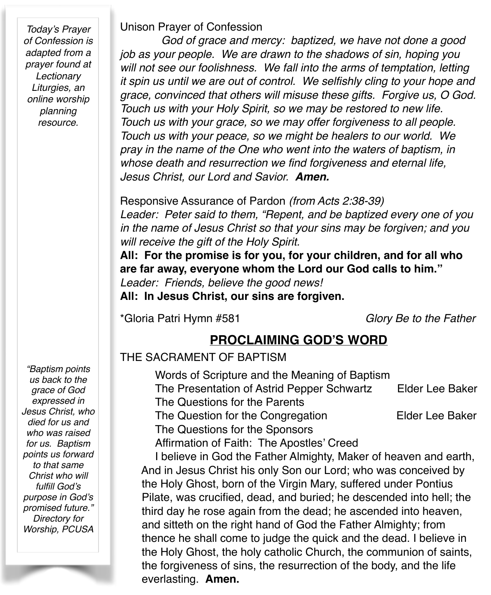*Today's Prayer of Confession is adapted from a prayer found at Lectionary Liturgies, an online worship planning resource.*

Unison Prayer of Confession

 *God of grace and mercy: baptized, we have not done a good job as your people. We are drawn to the shadows of sin, hoping you will not see our foolishness. We fall into the arms of temptation, letting it spin us until we are out of control. We selfishly cling to your hope and grace, convinced that others will misuse these gifts. Forgive us, O God. Touch us with your Holy Spirit, so we may be restored to new life. Touch us with your grace, so we may offer forgiveness to all people. Touch us with your peace, so we might be healers to our world. We pray in the name of the One who went into the waters of baptism, in whose death and resurrection we find forgiveness and eternal life, Jesus Christ, our Lord and Savior. Amen.*

Responsive Assurance of Pardon *(from Acts 2:38-39)*

*Leader: Peter said to them, "Repent, and be baptized every one of you in the name of Jesus Christ so that your sins may be forgiven; and you will receive the gift of the Holy Spirit.*

**All: For the promise is for you, for your children, and for all who are far away, everyone whom the Lord our God calls to him."**

*Leader: Friends, believe the good news!*

**All: In Jesus Christ, our sins are forgiven.**

\*Gloria Patri Hymn #581 *Glory Be to the Father*

### **PROCLAIMING GOD'S WORD**

#### THE SACRAMENT OF BAPTISM

Words of Scripture and the Meaning of Baptism The Presentation of Astrid Pepper Schwartz Elder Lee Baker The Questions for the Parents

The Question for the Congregation **Elder Lee Baker** 

The Questions for the Sponsors

Affirmation of Faith: The Apostles' Creed

I believe in God the Father Almighty, Maker of heaven and earth, And in Jesus Christ his only Son our Lord; who was conceived by the Holy Ghost, born of the Virgin Mary, suffered under Pontius Pilate, was crucified, dead, and buried; he descended into hell; the third day he rose again from the dead; he ascended into heaven, and sitteth on the right hand of God the Father Almighty; from thence he shall come to judge the quick and the dead. I believe in the Holy Ghost, the holy catholic Church, the communion of saints, the forgiveness of sins, the resurrection of the body, and the life everlasting. **Amen.**

*"Baptism points us back to the grace of God expressed in Jesus Christ, who died for us and who was raised for us. Baptism points us forward to that same Christ who will fulfill God's purpose in God's promised future." Directory for Worship, PCUSA*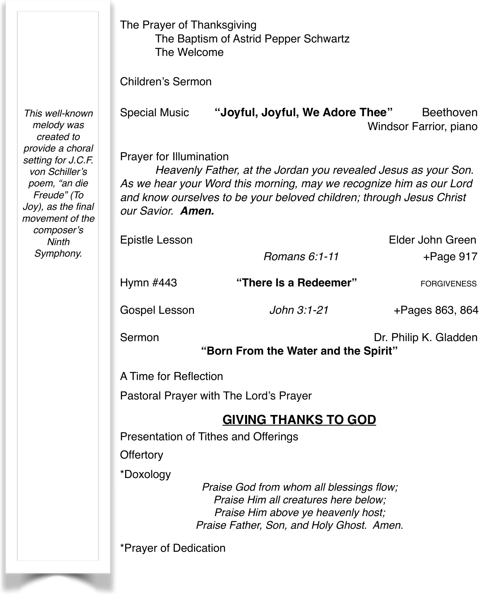|                                                                                                                                                                                                                      | The Prayer of Thanksgiving<br>The Baptism of Astrid Pepper Schwartz<br>The Welcome                                                                                                                                                                                   |                                 |                                     |  |  |
|----------------------------------------------------------------------------------------------------------------------------------------------------------------------------------------------------------------------|----------------------------------------------------------------------------------------------------------------------------------------------------------------------------------------------------------------------------------------------------------------------|---------------------------------|-------------------------------------|--|--|
|                                                                                                                                                                                                                      | <b>Children's Sermon</b>                                                                                                                                                                                                                                             |                                 |                                     |  |  |
| This well-known<br>melody was<br>created to<br>provide a choral<br>setting for J.C.F.<br>von Schiller's<br>poem, "an die<br>Freude" (To<br>Joy), as the final<br>movement of the<br>composer's<br>Ninth<br>Symphony. | <b>Special Music</b>                                                                                                                                                                                                                                                 | "Joyful, Joyful, We Adore Thee" | Beethoven<br>Windsor Farrior, piano |  |  |
|                                                                                                                                                                                                                      | <b>Prayer for Illumination</b><br>Heavenly Father, at the Jordan you revealed Jesus as your Son.<br>As we hear your Word this morning, may we recognize him as our Lord<br>and know ourselves to be your beloved children; through Jesus Christ<br>our Savior. Amen. |                                 |                                     |  |  |
|                                                                                                                                                                                                                      | <b>Epistle Lesson</b>                                                                                                                                                                                                                                                | Romans 6:1-11                   | Elder John Green<br>$+$ Page 917    |  |  |
|                                                                                                                                                                                                                      | Hymn #443                                                                                                                                                                                                                                                            | "There Is a Redeemer"           | <b>FORGIVENESS</b>                  |  |  |
|                                                                                                                                                                                                                      | Gospel Lesson                                                                                                                                                                                                                                                        | John 3:1-21                     | +Pages 863, 864                     |  |  |
|                                                                                                                                                                                                                      | Sermon<br>Dr. Philip K. Gladden<br>"Born From the Water and the Spirit"                                                                                                                                                                                              |                                 |                                     |  |  |
|                                                                                                                                                                                                                      | A Time for Reflection                                                                                                                                                                                                                                                |                                 |                                     |  |  |
|                                                                                                                                                                                                                      | Pastoral Prayer with The Lord's Prayer                                                                                                                                                                                                                               |                                 |                                     |  |  |
|                                                                                                                                                                                                                      | <b>GIVING THANKS TO GOD</b>                                                                                                                                                                                                                                          |                                 |                                     |  |  |
|                                                                                                                                                                                                                      | Presentation of Tithes and Offerings                                                                                                                                                                                                                                 |                                 |                                     |  |  |
|                                                                                                                                                                                                                      | Offertory                                                                                                                                                                                                                                                            |                                 |                                     |  |  |
|                                                                                                                                                                                                                      | *Doxology<br>Praise God from whom all blessings flow;<br>Praise Him all creatures here below;<br>Praise Him above ye heavenly host;<br>Praise Father, Son, and Holy Ghost. Amen.                                                                                     |                                 |                                     |  |  |
|                                                                                                                                                                                                                      | *Prayer of Dedication                                                                                                                                                                                                                                                |                                 |                                     |  |  |

ł T.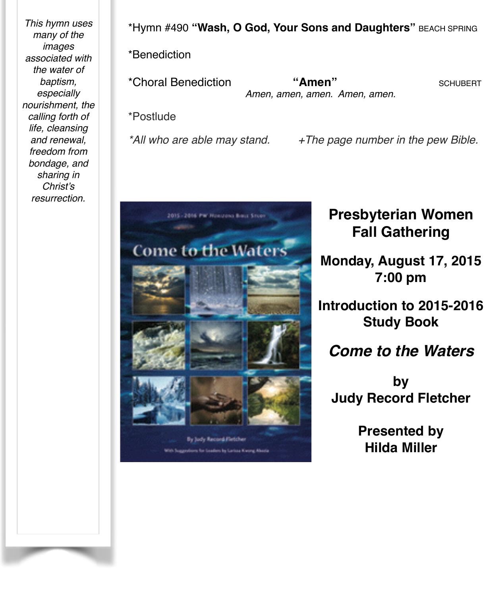*This hymn uses many of the images associated with the water of baptism, especially nourishment, the calling forth of life, cleansing and renewal, freedom from bondage, and sharing in Christ's resurrection.*

\*Hymn #490 **"Wash, O God, Your Sons and Daughters"** BEACH SPRING

\*Benediction

\*Choral Benediction **"Amen"** SCHUBERT *Amen, amen, amen. Amen, amen.*

\*Postlude

*\*All who are able may stand. +The page number in the pew Bible.*



# **Presbyterian Women Fall Gathering**

**Monday, August 17, 2015 7:00 pm**

**Introduction to 2015-2016 Study Book**

*Come to the Waters*

**by Judy Record Fletcher**

> **Presented by Hilda Miller**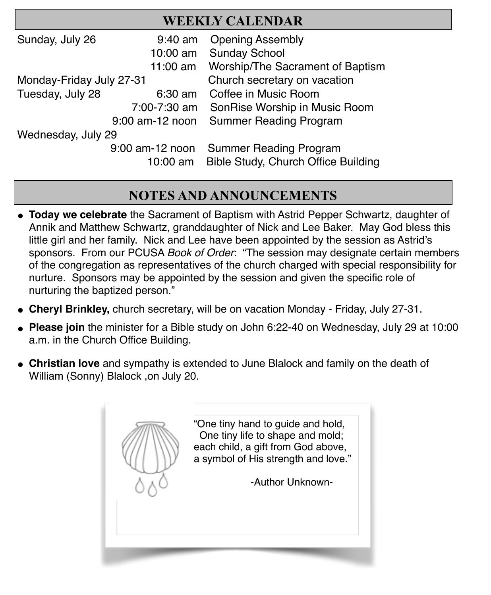|                          |                             | <b>WEEKLY CALENDAR</b>                                               |  |  |
|--------------------------|-----------------------------|----------------------------------------------------------------------|--|--|
| Sunday, July 26          | $9:40$ am                   | <b>Opening Assembly</b>                                              |  |  |
|                          | 10:00 am                    | <b>Sunday School</b>                                                 |  |  |
|                          | 11:00 am                    | Worship/The Sacrament of Baptism                                     |  |  |
| Monday-Friday July 27-31 |                             | Church secretary on vacation                                         |  |  |
| Tuesday, July 28         | $6:30$ am                   | Coffee in Music Room                                                 |  |  |
|                          | 7:00-7:30 am                | SonRise Worship in Music Room                                        |  |  |
| $9:00$ am-12 noon        |                             | <b>Summer Reading Program</b>                                        |  |  |
| Wednesday, July 29       |                             |                                                                      |  |  |
|                          | 9:00 am-12 noon<br>10:00 am | <b>Summer Reading Program</b><br>Bible Study, Church Office Building |  |  |

֦

# **NOTES AND ANNOUNCEMENTS**

- " **Today we celebrate** the Sacrament of Baptism with Astrid Pepper Schwartz, daughter of Annik and Matthew Schwartz, granddaughter of Nick and Lee Baker. May God bless this little girl and her family. Nick and Lee have been appointed by the session as Astrid's sponsors. From our PCUSA *Book of Order*: "The session may designate certain members of the congregation as representatives of the church charged with special responsibility for nurture. Sponsors may be appointed by the session and given the specific role of nurturing the baptized person."
- " **Cheryl Brinkley,** church secretary, will be on vacation Monday Friday, July 27-31.
- **Please join** the minister for a Bible study on John 6:22-40 on Wednesday, July 29 at 10:00 a.m. in the Church Office Building.
- **Christian love** and sympathy is extended to June Blalock and family on the death of William (Sonny) Blalock ,on July 20.